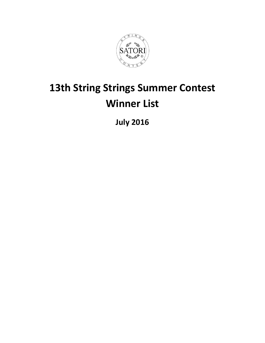

# **13th String Strings Summer Contest Winner List**

**July 2016**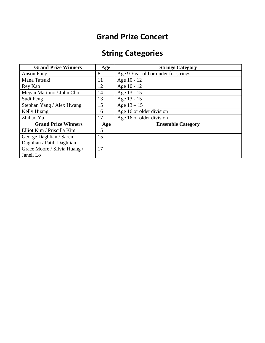#### **Grand Prize Concert**

# **String Categories**

| <b>Grand Prize Winners</b>   | Age | <b>Strings Category</b>             |
|------------------------------|-----|-------------------------------------|
| Anson Fong                   | 8   | Age 9 Year old or under for strings |
| Mana Tatsuki                 | 11  | Age 10 - 12                         |
| Rey Kao                      | 12  | Age 10 - 12                         |
| Megan Martono / John Cho     | 14  | Age 13 - 15                         |
| Sudi Feng                    | 13  | Age 13 - 15                         |
| Stephan Yang / Alex Hwang    | 15  | Age $13 - 15$                       |
| Kelly Huang                  | 16  | Age 16 or older division            |
| Zhihao Yu                    | 17  | Age 16 or older division            |
| <b>Grand Prize Winners</b>   | Age | <b>Ensemble Category</b>            |
| Elliot Kim / Priscilla Kim   | 15  |                                     |
| George Daghlian / Saren      | 15  |                                     |
| Daghlian / Patill Daghlian   |     |                                     |
| Grace Moore / Silvia Huang / | 17  |                                     |
| Janell Lo                    |     |                                     |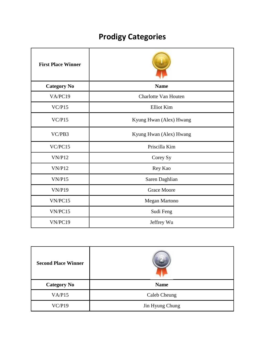# **Prodigy Categories**

| <b>First Place Winner</b> |                         |
|---------------------------|-------------------------|
| <b>Category No</b>        | <b>Name</b>             |
| VA/PC19                   | Charlotte Van Houten    |
| VC/P15                    | Elliot Kim              |
| VC/P15                    | Kyung Hwan (Alex) Hwang |
| VC/PB3                    | Kyung Hwan (Alex) Hwang |
| VC/PC15                   | Priscilla Kim           |
| VN/P12                    | Corey Sy                |
| VN/P12                    | Rey Kao                 |
| VN/P15                    | Saren Daghlian          |
| <b>VN/P19</b>             | <b>Grace Moore</b>      |
| VN/PC15                   | Megan Martono           |
| VN/PC15                   | Sudi Feng               |
| VN/PC19                   | Jeffrey Wu              |

| <b>Second Place Winner</b> |                 |
|----------------------------|-----------------|
| <b>Category No</b>         | <b>Name</b>     |
| VA/P15                     | Caleb Cheung    |
| VC/P19                     | Jin Hyung Chung |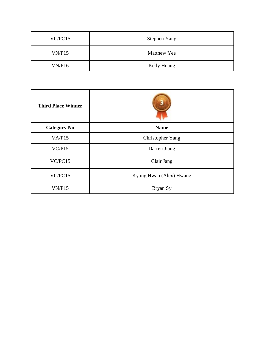| VC/PC15 | <b>Stephen Yang</b> |
|---------|---------------------|
| VN/P15  | Matthew Yee         |
| VN/P16  | Kelly Huang         |

| <b>Third Place Winner</b> |                         |
|---------------------------|-------------------------|
| <b>Category No</b>        | <b>Name</b>             |
| VA/P15                    | Christopher Yang        |
| VC/P15                    | Darren Jiang            |
| VC/PC15                   | Clair Jang              |
| VC/PC15                   | Kyung Hwan (Alex) Hwang |
| VN/P15                    | Bryan Sy                |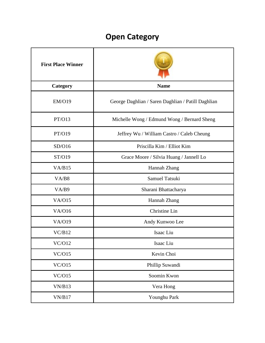# **Open Category**

| <b>First Place Winner</b> |                                                    |
|---------------------------|----------------------------------------------------|
| <b>Category</b>           | <b>Name</b>                                        |
| <b>EM/O19</b>             | George Daghlian / Saren Daghlian / Patill Daghlian |
| PT/O13                    | Michelle Wong / Edmund Wong / Bernard Sheng        |
| PT/O19                    | Jeffrey Wu / William Castro / Caleb Cheung         |
| SD/O16                    | Priscilla Kim / Elliot Kim                         |
| ST/O19                    | Grace Moore / Silvia Huang / Jannell Lo            |
| VA/B15                    | Hannah Zhang                                       |
| VA/B8                     | Samuel Tatsuki                                     |
| VA/B9                     | Sharani Bhattacharya                               |
| <b>VA/O15</b>             | Hannah Zhang                                       |
| <b>VA/O16</b>             | Christine Lin                                      |
| <b>VA/O19</b>             | Andy Kunwoo Lee                                    |
| VC/B12                    | Isaac Liu                                          |
| VC/O12                    | Isaac Liu                                          |
| VC/O15                    | Kevin Choi                                         |
| VC/O15                    | Phillip Suwandi                                    |
| VC/O15                    | Soomin Kwon                                        |
| VN/B13                    | Vera Hong                                          |
| VN/B17                    | Younghu Park                                       |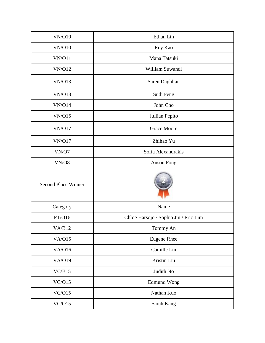| <b>VN/O10</b>              | Ethan Lin                             |
|----------------------------|---------------------------------------|
| <b>VN/O10</b>              | Rey Kao                               |
| <b>VN/O11</b>              | Mana Tatsuki                          |
| <b>VN/O12</b>              | William Suwandi                       |
| <b>VN/O13</b>              | Saren Daghlian                        |
| <b>VN/O13</b>              | Sudi Feng                             |
| <b>VN/O14</b>              | John Cho                              |
| <b>VN/O15</b>              | Jullian Pepito                        |
| <b>VN/O17</b>              | <b>Grace Moore</b>                    |
| <b>VN/O17</b>              | Zhihao Yu                             |
| VN/O7                      | Sofia Alexandrakis                    |
| VN/O8                      | <b>Anson Fong</b>                     |
| <b>Second Place Winner</b> |                                       |
| Category                   | Name                                  |
| PT/O16                     | Chloe Harsojo / Sophia Jin / Eric Lim |
| VA/B12                     | Tommy An                              |
| VA/O15                     | <b>Eugene Rhee</b>                    |
| <b>VA/O16</b>              | Camille Lin                           |
| VA/O19                     | Kristin Liu                           |
| VC/B15                     | Judith No                             |
| VC/O15                     | <b>Edmund Wong</b>                    |
| VC/O15                     |                                       |
|                            | Nathan Kuo                            |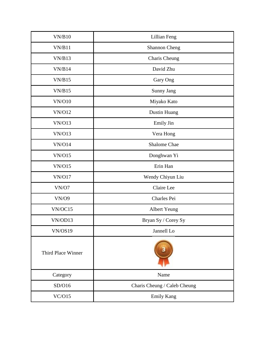| VN/B10             | Lillian Feng                 |
|--------------------|------------------------------|
| VN/B11             | <b>Shannon Cheng</b>         |
| VN/B13             | Charis Cheung                |
| VN/B14             | David Zhu                    |
| VN/B15             | Gary Ong                     |
| VN/B15             | Sunny Jang                   |
| <b>VN/O10</b>      | Miyako Kato                  |
| <b>VN/O12</b>      | Dustin Huang                 |
| <b>VN/O13</b>      | Emily Jin                    |
| <b>VN/O13</b>      | Vera Hong                    |
| <b>VN/O14</b>      | <b>Shalome Chae</b>          |
| VN/O15             | Donghwan Yi                  |
| VN/O15             | Erin Han                     |
| <b>VN/O17</b>      | Wendy Chiyun Liu             |
| VN/O7              | Claire Lee                   |
| <b>VN/O9</b>       | Charles Pei                  |
| VN/OC15            | <b>Albert Yeung</b>          |
| VN/OD13            | Bryan Sy / Corey Sy          |
| VN/OS19            | Jannell Lo                   |
| Third Place Winner |                              |
| Category           | Name                         |
| SD/O16             | Charis Cheung / Caleb Cheung |
| VC/O15             | <b>Emily Kang</b>            |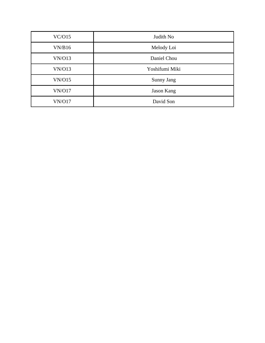| VC/O15        | Judith No         |
|---------------|-------------------|
| VN/B16        | Melody Loi        |
| VN/O13        | Daniel Chou       |
| VN/O13        | Yoshifumi Miki    |
| VN/O15        | Sunny Jang        |
| <b>VN/O17</b> | <b>Jason Kang</b> |
| <b>VN/O17</b> | David Son         |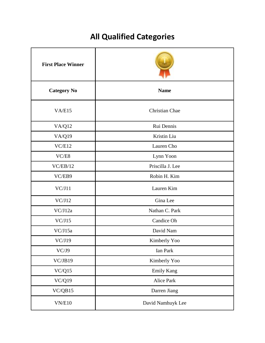# **All Qualified Categories**

| <b>First Place Winner</b> |                   |
|---------------------------|-------------------|
| <b>Category No</b>        | <b>Name</b>       |
| VA/E15                    | Christian Chae    |
| <b>VA/Q12</b>             | Rui Dennis        |
| VA/Q19                    | Kristin Liu       |
| VC/E12                    | Lauren Cho        |
| VC/ES                     | Lynn Yoon         |
| VC/EB/12                  | Priscilla J. Lee  |
| VC/EB9                    | Robin H. Kim      |
| VC/J11                    | Lauren Kim        |
| VC/J12                    | Gina Lee          |
| VC/J12a                   | Nathan C. Park    |
| VC/J15                    | Candice Oh        |
| VC/J15a                   | David Nam         |
| VC/J19                    | Kimberly Yoo      |
| VC/J9                     | Ian Park          |
| VC/JB19                   | Kimberly Yoo      |
| VC/Q15                    | <b>Emily Kang</b> |
| <b>VC/Q19</b>             | Alice Park        |
| VC/QB15                   | Darren Jiang      |
| VN/E10                    | David Namhuyk Lee |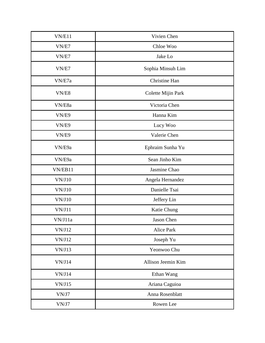| VN/E11  | Vivien Chen        |
|---------|--------------------|
| VN/E7   | Chloe Woo          |
| VN/E7   | Jake Lo            |
| VN/E7   | Sophia Minsuh Lim  |
| VN/E7a  | Christine Han      |
| VN/E8   | Colette Mijin Park |
| VN/E8a  | Victoria Chen      |
| VN/E9   | Hanna Kim          |
| VN/E9   | Lucy Woo           |
| VN/E9   | Valerie Chen       |
| VN/E9a  | Ephraim Sunha Yu   |
| VN/E9a  | Sean Jinho Kim     |
| VN/EB11 | Jasmine Chao       |
| VN/J10  | Angela Hernandez   |
| VN/J10  | Danielle Tsai      |
| VN/J10  | Jeffery Lin        |
| VN/J11  | Katie Chung        |
| VN/J11a | Jason Chen         |
| VN/J12  | Alice Park         |
| VN/J12  | Joseph Yu          |
| VN/J13  | Yeonwoo Chu        |
| VN/J14  | Allison Jeemin Kim |
| VN/J14  | Ethan Wang         |
| VN/J15  | Ariana Caguioa     |
| VN/J7   | Anna Rosenblatt    |
| VN/J7   | Rowen Lee          |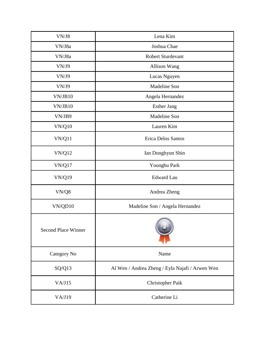| VN/J8                                                  | Lena Kim                                        |
|--------------------------------------------------------|-------------------------------------------------|
| VN/J8a                                                 | Joshua Chae                                     |
| VN/J8a                                                 | <b>Robert Sturdevant</b>                        |
| VN/J9                                                  | <b>Allison Wang</b>                             |
| VN/J9                                                  | Lucas Nguyen                                    |
| VN/J9                                                  | Madeline Son                                    |
| VN/JB10                                                | Angela Hernandez                                |
| VN/JB10                                                | <b>Esther Jang</b>                              |
| VN/JB9                                                 | Madeline Son                                    |
| <b>VN/Q10</b>                                          | Lauren Kim                                      |
| <b>VN/Q11</b>                                          | <b>Erica Delos Santos</b>                       |
| <b>VN/Q12</b>                                          | Ian Donghyun Shin                               |
| <b>VN/Q17</b>                                          | Younghu Park                                    |
| <b>VN/Q19</b>                                          | <b>Edward Lau</b>                               |
| $\ensuremath{\text{VN}}\xspace/\ensuremath{\text{Q}}8$ | Andrea Zheng                                    |
| VN/QD10                                                | Madeline Son / Angela Hernandez                 |
| <b>Second Place Winner</b>                             |                                                 |
| Category No                                            | Name                                            |
| SQ/Q13                                                 | Al Wen / Andrea Zheng / Eyla Najafi / Arwen Wen |
| VA/J15                                                 | Christopher Paik                                |
| VA/J19                                                 | Catherine Li                                    |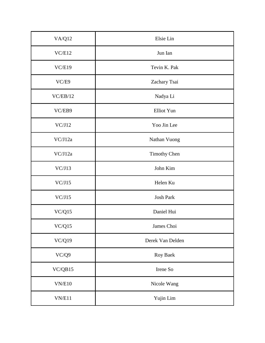| <b>VA/Q12</b> | Elsie Lin           |
|---------------|---------------------|
| VC/E12        | Jun Ian             |
| VC/E19        | Tevin K. Pak        |
| VC/E9         | Zachary Tsai        |
| VC/EB/12      | Nadya Li            |
| VC/EB9        | Elliot Yun          |
| VC/J12        | Yoo Jin Lee         |
| VC/J12a       | Nathan Vuong        |
| VC/J12a       | <b>Timothy Chen</b> |
| VC/J13        | John Kim            |
| VC/J15        | Helen Ku            |
| VC/J15        | <b>Josh Park</b>    |
| VC/Q15        | Daniel Hui          |
| VC/Q15        | James Choi          |
| $\rm VC/Q19$  | Derek Van Delden    |
| VC/Q9         | Roy Baek            |
| VC/QB15       | Irene So            |
| VN/E10        | Nicole Wang         |
| VN/E11        | Yujin Lim           |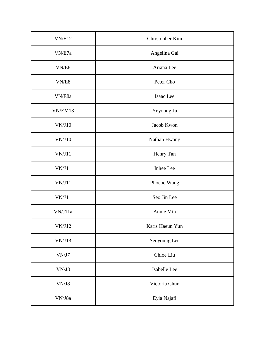| VN/E12                                                            | Christopher Kim |
|-------------------------------------------------------------------|-----------------|
| VN/E7a                                                            | Angelina Gai    |
| $\ensuremath{\text{VN}}\xspace/\ensuremath{\text{E8}}\xspace$     | Ariana Lee      |
| VN/E8                                                             | Peter Cho       |
| VN/E8a                                                            | Isaac Lee       |
| VN/EM13                                                           | Yeyoung Ju      |
| VN/J10                                                            | Jacob Kwon      |
| $\ensuremath{\text{VN}}\xspace/\ensuremath{\text{J}}\xspace\, 10$ | Nathan Hwang    |
| VN/J11                                                            | Henry Tan       |
| VN/J11                                                            | Inhee Lee       |
| VN/J11                                                            | Phoebe Wang     |
| VN/J11                                                            | Seo Jin Lee     |
| VN/J11a                                                           | Annie Min       |
| VN/J12                                                            | Karis Haeun Yun |
| VN/J13                                                            | Seoyoung Lee    |
| $\ensuremath{\text{VN}}\xspace/\ensuremath{\text{J}}7$            | Chloe Liu       |
| VN/J8                                                             | Isabelle Lee    |
| VN/J8                                                             | Victoria Chun   |
| VN/J8a                                                            | Eyla Najafi     |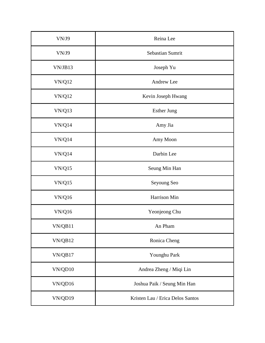| VN/J9         | Reina Lee                        |
|---------------|----------------------------------|
| VN/J9         | Sebastian Sumrit                 |
| VN/JB13       | Joseph Yu                        |
| <b>VN/Q12</b> | Andrew Lee                       |
| <b>VN/Q12</b> | Kevin Joseph Hwang               |
| <b>VN/Q13</b> | <b>Esther Jung</b>               |
| VN/Q14        | Amy Jia                          |
| VN/Q14        | Amy Moon                         |
| VN/Q14        | Darbin Lee                       |
| VN/Q15        | Seung Min Han                    |
| VN/Q15        | Seyoung Seo                      |
| <b>VN/Q16</b> | Harrison Min                     |
| <b>VN/Q16</b> | Yeonjeong Chu                    |
| VN/QB11       | An Pham                          |
| VN/QB12       | Ronica Cheng                     |
| VN/QB17       | Younghu Park                     |
| VN/QD10       | Andrea Zheng / Miqi Lin          |
| VN/QD16       | Joshua Paik / Seung Min Han      |
| VN/QD19       | Kristen Lau / Erica Delos Santos |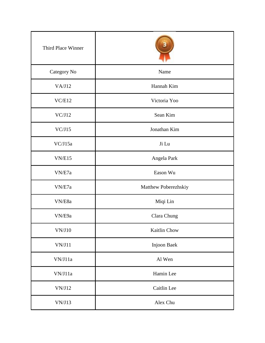| Third Place Winner                                               |                      |
|------------------------------------------------------------------|----------------------|
| Category No                                                      | Name                 |
| VA/J12                                                           | Hannah Kim           |
| VC/E12                                                           | Victoria Yoo         |
| VC/J12                                                           | Sean Kim             |
| VC/J15                                                           | Jonathan Kim         |
| VC/J15a                                                          | Ji Lu                |
| VN/E15                                                           | Angela Park          |
| VN/E7a                                                           | Eason Wu             |
| VN/E7a                                                           | Matthew Poberezhskiy |
| VN/E8a                                                           | Miqi Lin             |
| VN/E9a                                                           | Clara Chung          |
| $\ensuremath{\text{VN}}\xspace/\ensuremath{\text{J}}\xspace10$   | Kaitlin Chow         |
| $\ensuremath{\text{VN}}\xspace/\ensuremath{\text{J}}\xspace\,11$ | Injoon Baek          |
| VN/J11a                                                          | Al Wen               |
| VN/J11a                                                          | Hamin Lee            |
| VN/J12                                                           | Caitlin Lee          |
| VN/J13                                                           | Alex Chu             |